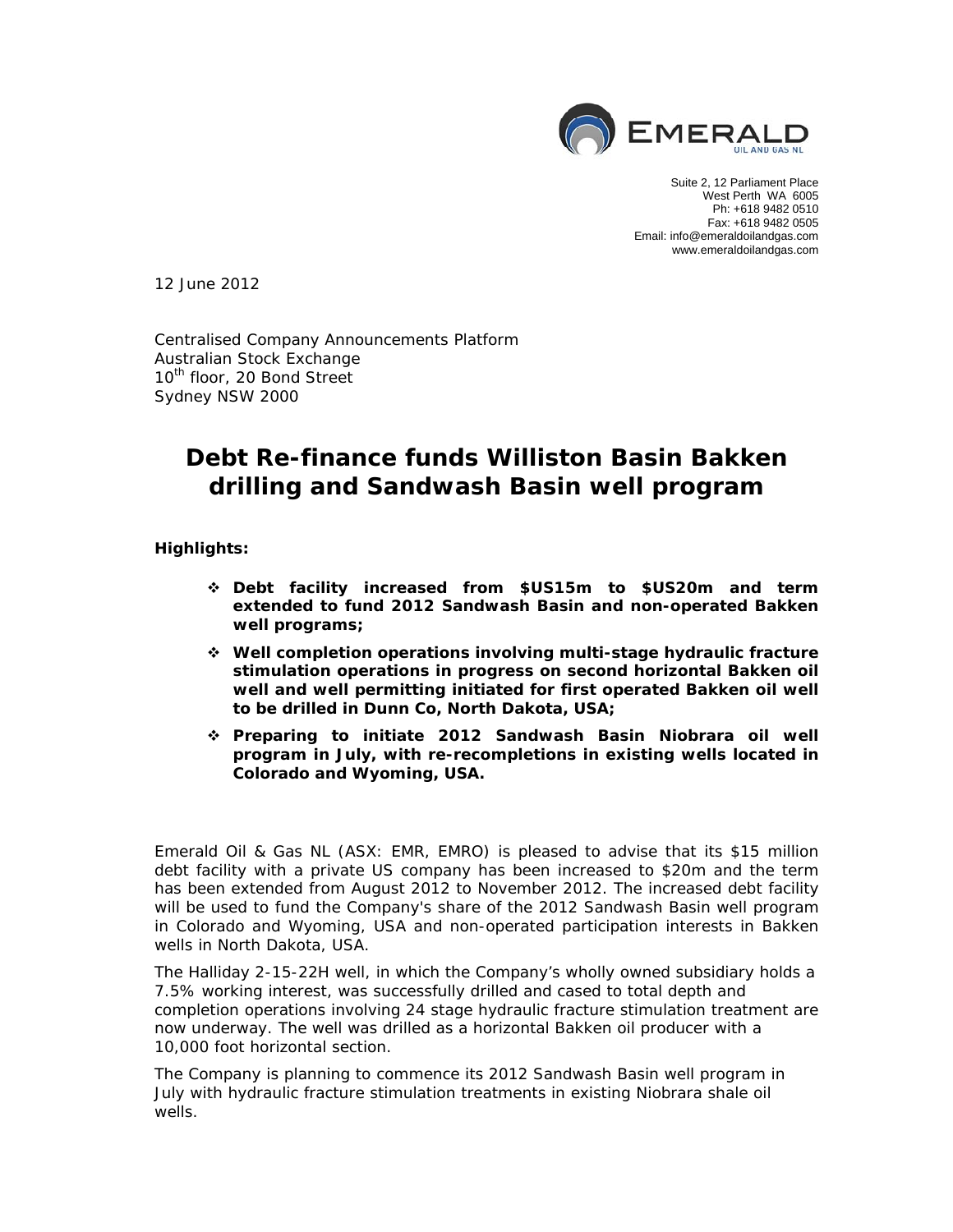

Suite 2, 12 Parliament Place West Perth WA 6005 Ph: +618 9482 0510 Fax: +618 9482 0505 Email: info@emeraldoilandgas.com www.emeraldoilandgas.com

12 June 2012

Centralised Company Announcements Platform Australian Stock Exchange 10<sup>th</sup> floor, 20 Bond Street Sydney NSW 2000

# **Debt Re-finance funds Williston Basin Bakken drilling and Sandwash Basin well program**

**Highlights:** 

- **Debt facility increased from \$US15m to \$US20m and term extended to fund 2012 Sandwash Basin and non-operated Bakken well programs;**
- **Well completion operations involving multi-stage hydraulic fracture stimulation operations in progress on second horizontal Bakken oil well and well permitting initiated for first operated Bakken oil well to be drilled in Dunn Co, North Dakota, USA;**
- **Preparing to initiate 2012 Sandwash Basin Niobrara oil well program in July, with re-recompletions in existing wells located in Colorado and Wyoming, USA.**

Emerald Oil & Gas NL (ASX: EMR, EMRO) is pleased to advise that its \$15 million debt facility with a private US company has been increased to \$20m and the term has been extended from August 2012 to November 2012. The increased debt facility will be used to fund the Company's share of the 2012 Sandwash Basin well program in Colorado and Wyoming, USA and non-operated participation interests in Bakken wells in North Dakota, USA.

The Halliday 2-15-22H well, in which the Company's wholly owned subsidiary holds a 7.5% working interest, was successfully drilled and cased to total depth and completion operations involving 24 stage hydraulic fracture stimulation treatment are now underway. The well was drilled as a horizontal Bakken oil producer with a 10,000 foot horizontal section.

The Company is planning to commence its 2012 Sandwash Basin well program in July with hydraulic fracture stimulation treatments in existing Niobrara shale oil wells.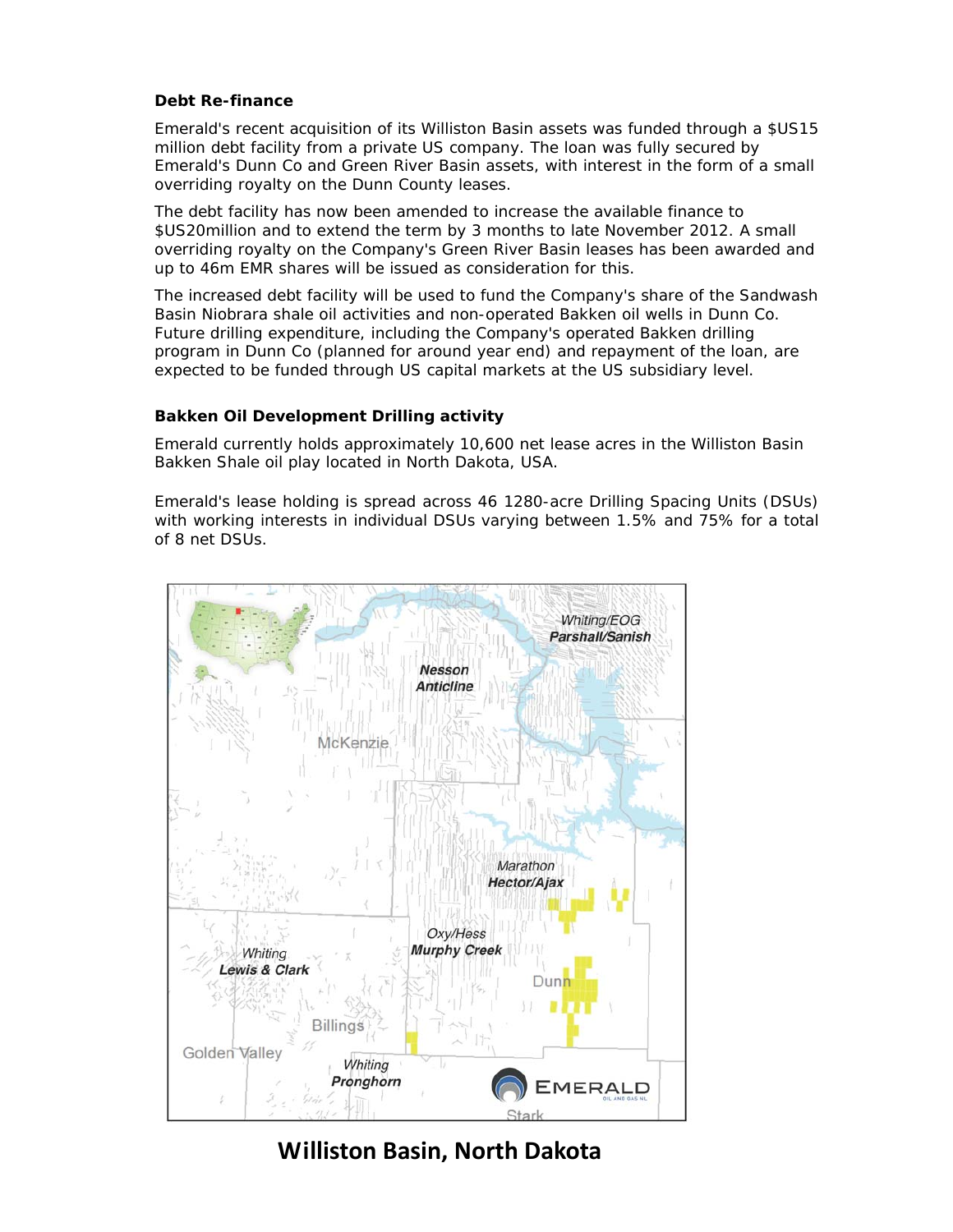## **Debt Re-finance**

Emerald's recent acquisition of its Williston Basin assets was funded through a \$US15 million debt facility from a private US company. The loan was fully secured by Emerald's Dunn Co and Green River Basin assets, with interest in the form of a small overriding royalty on the Dunn County leases.

The debt facility has now been amended to increase the available finance to \$US20million and to extend the term by 3 months to late November 2012. A small overriding royalty on the Company's Green River Basin leases has been awarded and up to 46m EMR shares will be issued as consideration for this.

The increased debt facility will be used to fund the Company's share of the Sandwash Basin Niobrara shale oil activities and non-operated Bakken oil wells in Dunn Co. Future drilling expenditure, including the Company's operated Bakken drilling program in Dunn Co (planned for around year end) and repayment of the loan, are expected to be funded through US capital markets at the US subsidiary level.

# **Bakken Oil Development Drilling activity**

Emerald currently holds approximately 10,600 net lease acres in the Williston Basin Bakken Shale oil play located in North Dakota, USA.

Emerald's lease holding is spread across 46 1280-acre Drilling Spacing Units (DSUs) with working interests in individual DSUs varying between 1.5% and 75% for a total of 8 net DSUs.



**Williston Basin, North Dakota**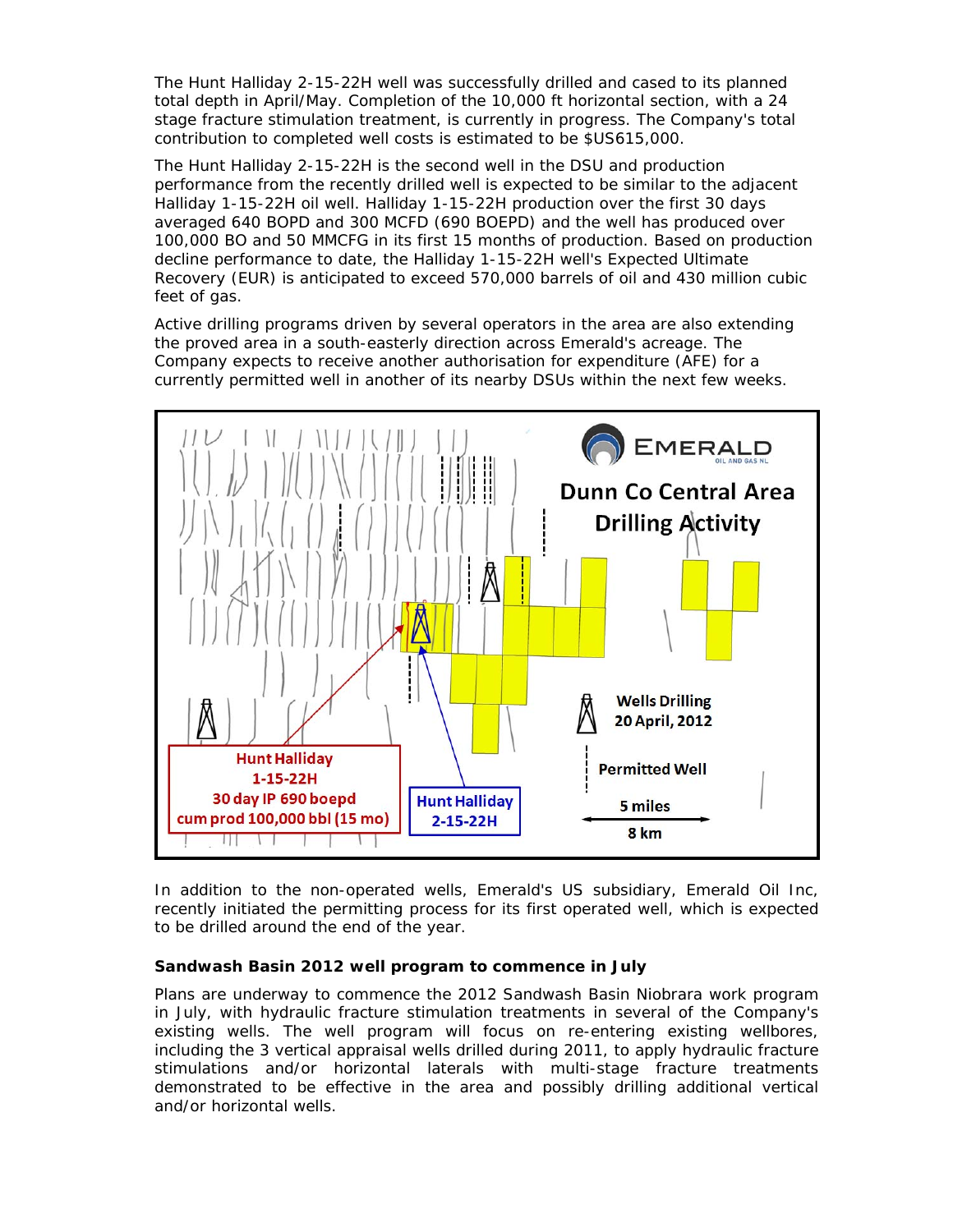The Hunt Halliday 2-15-22H well was successfully drilled and cased to its planned total depth in April/May. Completion of the 10,000 ft horizontal section, with a 24 stage fracture stimulation treatment, is currently in progress. The Company's total contribution to completed well costs is estimated to be \$US615,000.

The Hunt Halliday 2-15-22H is the second well in the DSU and production performance from the recently drilled well is expected to be similar to the adjacent Halliday 1-15-22H oil well. Halliday 1-15-22H production over the first 30 days averaged 640 BOPD and 300 MCFD (690 BOEPD) and the well has produced over 100,000 BO and 50 MMCFG in its first 15 months of production. Based on production decline performance to date, the Halliday 1-15-22H well's Expected Ultimate Recovery (EUR) is anticipated to exceed 570,000 barrels of oil and 430 million cubic feet of gas.

Active drilling programs driven by several operators in the area are also extending the proved area in a south-easterly direction across Emerald's acreage. The Company expects to receive another authorisation for expenditure (AFE) for a currently permitted well in another of its nearby DSUs within the next few weeks.



In addition to the non-operated wells, Emerald's US subsidiary, Emerald Oil Inc, recently initiated the permitting process for its first operated well, which is expected to be drilled around the end of the year.

# **Sandwash Basin 2012 well program to commence in July**

Plans are underway to commence the 2012 Sandwash Basin Niobrara work program in July, with hydraulic fracture stimulation treatments in several of the Company's existing wells. The well program will focus on re-entering existing wellbores, including the 3 vertical appraisal wells drilled during 2011, to apply hydraulic fracture stimulations and/or horizontal laterals with multi-stage fracture treatments demonstrated to be effective in the area and possibly drilling additional vertical and/or horizontal wells.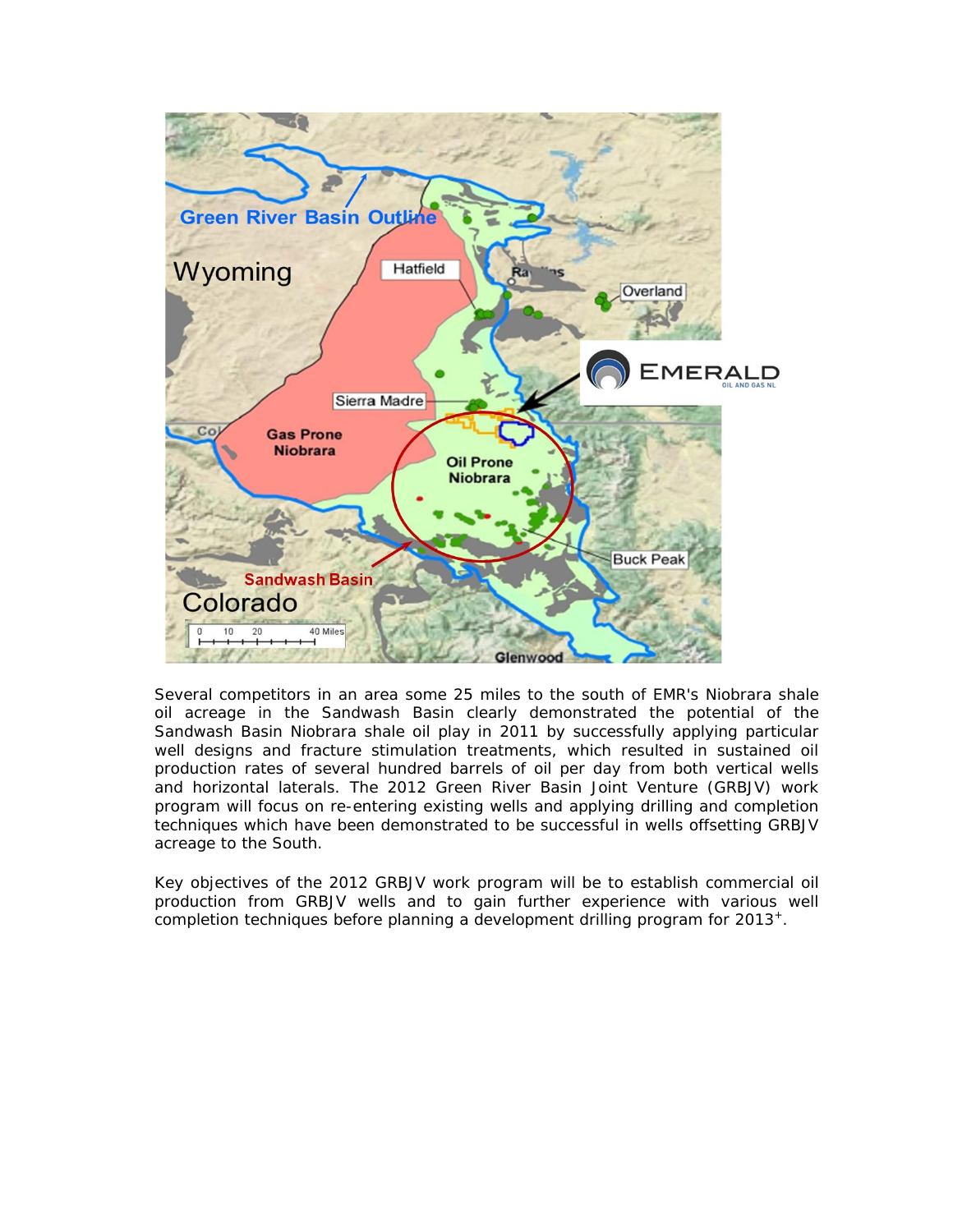

Several competitors in an area some 25 miles to the south of EMR's Niobrara shale oil acreage in the Sandwash Basin clearly demonstrated the potential of the Sandwash Basin Niobrara shale oil play in 2011 by successfully applying particular well designs and fracture stimulation treatments, which resulted in sustained oil production rates of several hundred barrels of oil per day from both vertical wells and horizontal laterals. The 2012 Green River Basin Joint Venture (GRBJV) work program will focus on re-entering existing wells and applying drilling and completion techniques which have been demonstrated to be successful in wells offsetting GRBJV acreage to the South.

Key objectives of the 2012 GRBJV work program will be to establish commercial oil production from GRBJV wells and to gain further experience with various well completion techniques before planning a development drilling program for 2013+.